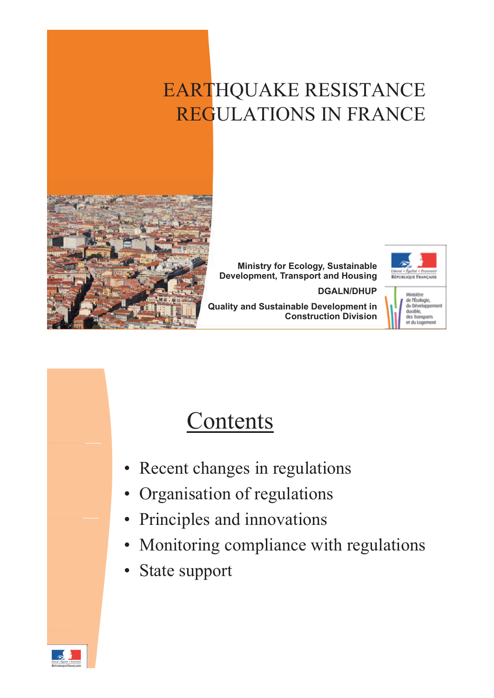## EARTHQUAKE RESISTANCE REGULATIONS IN FRANCE



**Ministry for Ecology, Sustainable Development, Transport and Housing**

**DGALN/DHUP**



**Quality and Sustainable Development in Construction Division**



## **Contents**

- Recent changes in regulations
- Organisation of regulations
- Principles and innovations
- Monitoring compliance with regulations
- State support

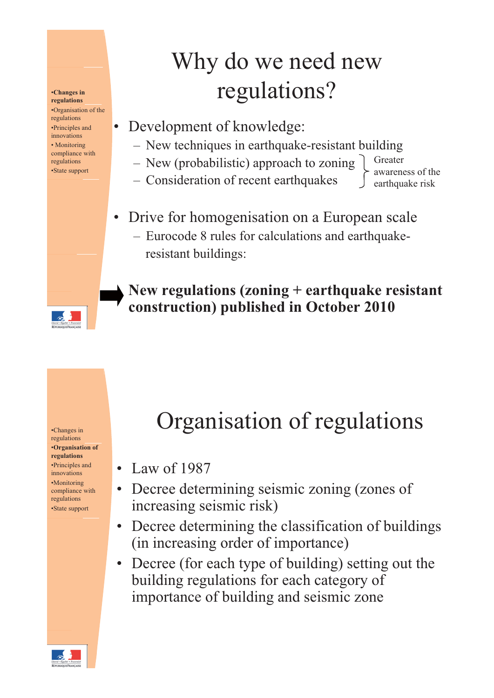#### **•Changes** in **regulations**

•Organisation of the regulations •Principles and innovations • Monitoring compliance with regulations •State support

## Why do we need new regulations?

- Development of knowledge:
	- New techniques in earthquake-resistant building
	- New (probabilistic) approach to zoning
	- Consideration of recent earthquakes –

Greater awareness of the earthquake risk

- Drive for homogenisation on a European scale
	- Eurocode 8 rules for calculations and earthquakeresistant buildings:

**New regulations (zoning + earthquake resistant construction) published in October 2010**

#### regulations •**Organisation of regulations** •Principles and innovations •Monitoring compliance with regulations •State support

# •Changes in **Canages in** Organisation of regulations

- Law of 1987
- Decree determining seismic zoning (zones of increasing seismic risk)
- Decree determining the classification of buildings (in increasing order of importance)
- Decree (for each type of building) setting out the building regulations for each category of importance of building and seismic zone

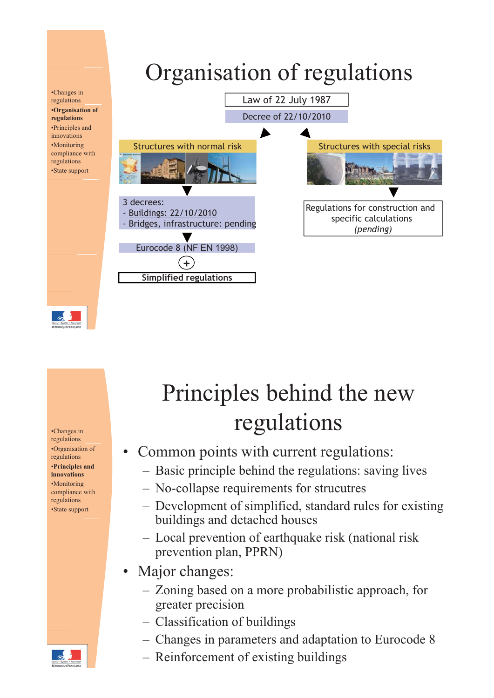

regulations •Organisation of regulations •**Principles and innovations** •Monitoring compliance with regulations •State support

# Principles behind the new •Changes in regulations

- Common points with current regulations:
	- Basic principle behind the regulations: saving lives
	- No-collapse requirements for strucutres
	- Development of simplified, standard rules for existing buildings and detached houses
	- Local prevention of earthquake risk (national risk prevention plan, PPRN)
- Major changes:
	- $-$  Zoning based on a more probabilistic approach, for greater precision
	- Classification of buildings
	- Changes in parameters and adaptation to Eurocode 8
	- Reinforcement of existing buildings

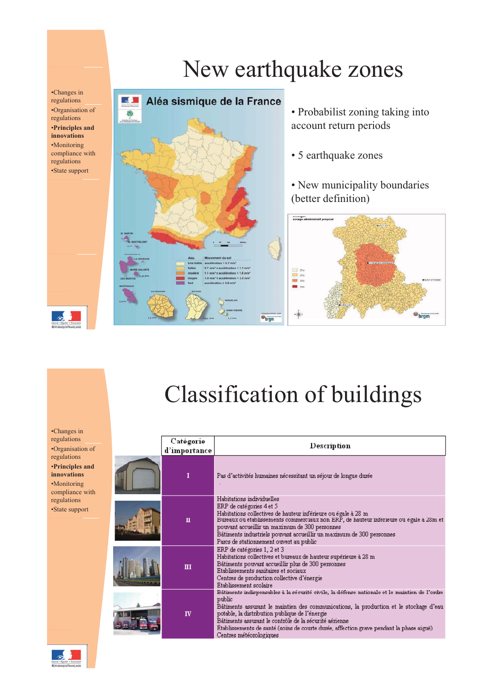#### •Changes in regulations •Organisation of regulations •**Principles and innovations** •Monitoring compliance with regulations

•State support



• Probabilist zoning taking into account return periods

• 5 earthquake zones

New earthquake zones

• New municipality boundaries (better definition)





•Changes in regulations •Organisation of regulations •**Principles and innovations** •Monitoring compliance with regulations •State support

| Catégorie<br>d'importance | Description                                                                                                                                                                                                                                                                                                                                                                                                                        |
|---------------------------|------------------------------------------------------------------------------------------------------------------------------------------------------------------------------------------------------------------------------------------------------------------------------------------------------------------------------------------------------------------------------------------------------------------------------------|
| T                         | Pas d'activités humaines nécessitant un séjour de longue durée                                                                                                                                                                                                                                                                                                                                                                     |
| п                         | Habitations individuelles<br>ERP de catégories 4 et 5<br>Habitations collectives de hauteur inférieure ou égale à 28 m<br>Bureaux ou établissements commerciaux non ERP, de hauteur inférieure ou égale à 28m et<br>pouvant accueillir un maximum de 300 personnes<br>Bâtiments industriels pouvant accueillir un maximum de 300 personnes<br>Parcs de stationnement ouvert au public                                              |
| Ш                         | ERP de catégories 1, 2 et 3<br>Habitations collectives et bureaux de hauteur supérieure à 28 m<br>Bâtiments pouvant accueillir plus de 300 personnes<br>Etablissements sanitaires et sociaux<br>Centres de production collective d'énergie<br>Etablissement scolaire                                                                                                                                                               |
| IV                        | Bâtimente indiepeneablee à la eécurité civile, la défense nationale et le maintien de l'ordre<br>public<br>Bâtiments assurant le maintien des communications, la production et le stockage d'eau<br>potable, la distribution publique de l'énergie<br>Bâtiments assurant le contrôle de la sécurité aérienne<br>Etablissements de santé (soins de courte durée, affection grave pendant la phase aiguë)<br>Centres météorologiques |

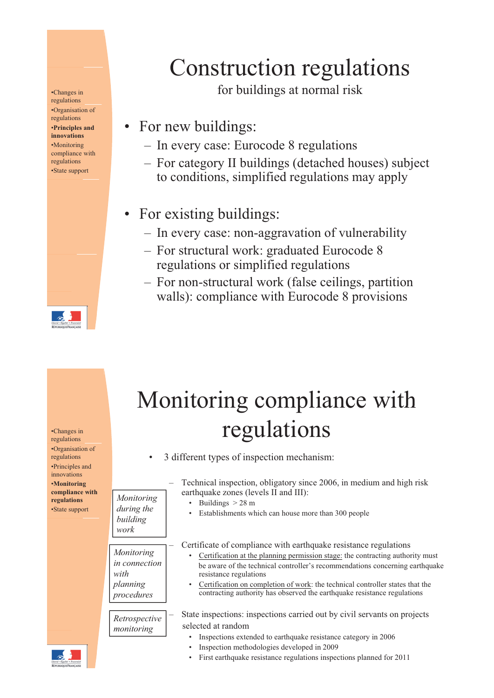regulations •Organisation of regulations •**Principles and innovations** •Monitoring compliance with regulations

## Construction regulations

•Changes in for buildings at normal risk

- For new buildings:
	- In every case: Eurocode 8 regulations
- For category II buildings (detached houses) subject \*State support to conditions, simplified regulations may apply
	- For existing buildings:
		- In every case: non-aggravation of vulnerability
		- For structural work: graduated Eurocode 8 regulations or simplified regulations
		- For non-structural work (false ceilings, partition walls): compliance with Eurocode 8 provisions

| •Changes in<br>regulations<br>•Organisation of                                                                         | Monitoring compliance with<br>regulations                     |                                                                                                                                                                                                                                                                                                                                                                                                                           |  |
|------------------------------------------------------------------------------------------------------------------------|---------------------------------------------------------------|---------------------------------------------------------------------------------------------------------------------------------------------------------------------------------------------------------------------------------------------------------------------------------------------------------------------------------------------------------------------------------------------------------------------------|--|
| regulations<br>•Principles and<br>innovations<br><b>Monitoring</b><br>compliance with<br>regulations<br>•State support | $\bullet$<br>Monitoring<br>during the<br>building<br>work     | 3 different types of inspection mechanism:<br>Technical inspection, obligatory since 2006, in medium and high risk<br>earthquake zones (levels II and III):<br>Buildings $> 28$ m<br>Establishments which can house more than 300 people                                                                                                                                                                                  |  |
|                                                                                                                        | Monitoring<br>in connection<br>with<br>planning<br>procedures | Certificate of compliance with earthquake resistance regulations<br>Certification at the planning permission stage: the contracting authority must<br>be aware of the technical controller's recommendations concerning earthquake<br>resistance regulations<br>Certification on completion of work: the technical controller states that the<br>contracting authority has observed the earthquake resistance regulations |  |
|                                                                                                                        | Retrospective<br>monitoring                                   | State inspections: inspections carried out by civil servants on projects<br>selected at random<br>Inspections extended to earthquake resistance category in 2006<br>Inspection methodologies developed in 2009<br>First earthquake resistance regulations inspections planned for 2011                                                                                                                                    |  |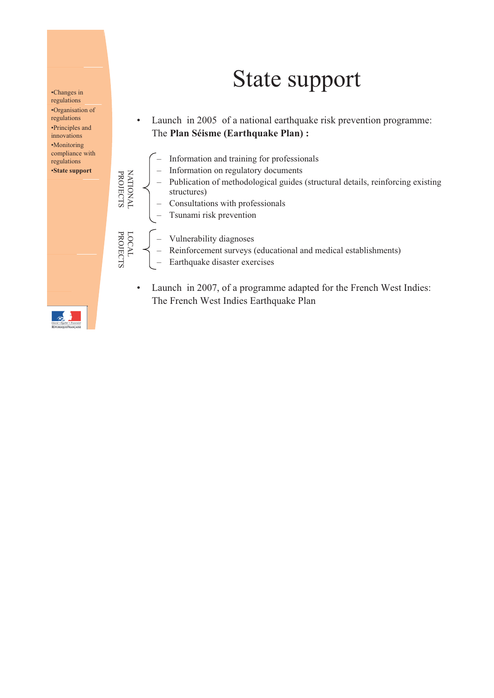# State support

• Launch in 2005 of a national earthquake risk prevention programme: The **Plan Séisme (Earthquake Plan) :**

- Information and training for professionals – Information on regulatory documents - Publication of methodological guides (structural details, reinforcing existing N A P R structures) – Consultations with professionals – Tsunami risk prevention ATIONAL ROJECTS – Vulnerability diagnoses - Reinforcement surveys (educational and medical establishments)<br>- Earthquake disaster exercises LOCA L PROJE CTS
	- Launch in 2007, of a programme adapted for the French West Indies: The French West Indies Earthquake Plan



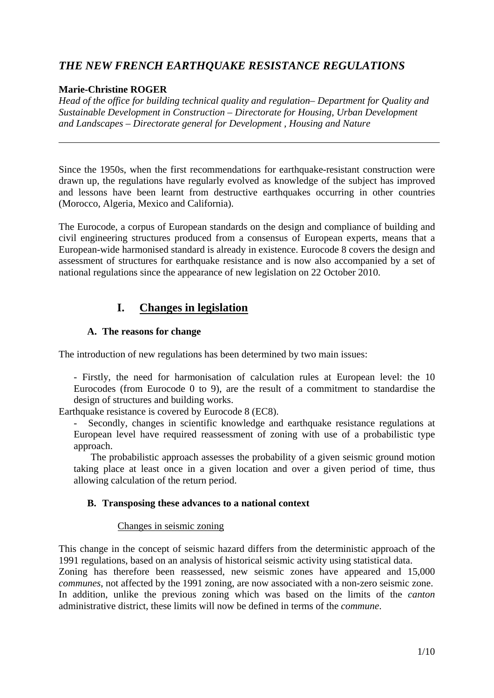## *THE NEW FRENCH EARTHQUAKE RESISTANCE REGULATIONS*

#### **Marie-Christine ROGER**

*Head of the office for building technical quality and regulation– Department for Quality and Sustainable Development in Construction – Directorate for Housing, Urban Development and Landscapes – Directorate general for Development , Housing and Nature* 

Since the 1950s, when the first recommendations for earthquake-resistant construction were drawn up, the regulations have regularly evolved as knowledge of the subject has improved and lessons have been learnt from destructive earthquakes occurring in other countries (Morocco, Algeria, Mexico and California).

The Eurocode, a corpus of European standards on the design and compliance of building and civil engineering structures produced from a consensus of European experts, means that a European-wide harmonised standard is already in existence. Eurocode 8 covers the design and assessment of structures for earthquake resistance and is now also accompanied by a set of national regulations since the appearance of new legislation on 22 October 2010.

### **I. Changes in legislation**

#### **A. The reasons for change**

The introduction of new regulations has been determined by two main issues:

- Firstly, the need for harmonisation of calculation rules at European level: the 10 Eurocodes (from Eurocode 0 to 9), are the result of a commitment to standardise the design of structures and building works.

Earthquake resistance is covered by Eurocode 8 (EC8).

- Secondly, changes in scientific knowledge and earthquake resistance regulations at European level have required reassessment of zoning with use of a probabilistic type approach.

The probabilistic approach assesses the probability of a given seismic ground motion taking place at least once in a given location and over a given period of time, thus allowing calculation of the return period.

#### **B. Transposing these advances to a national context**

#### Changes in seismic zoning

This change in the concept of seismic hazard differs from the deterministic approach of the 1991 regulations, based on an analysis of historical seismic activity using statistical data.

Zoning has therefore been reassessed, new seismic zones have appeared and 15,000 *communes*, not affected by the 1991 zoning, are now associated with a non-zero seismic zone. In addition, unlike the previous zoning which was based on the limits of the *canton* administrative district, these limits will now be defined in terms of the *commune*.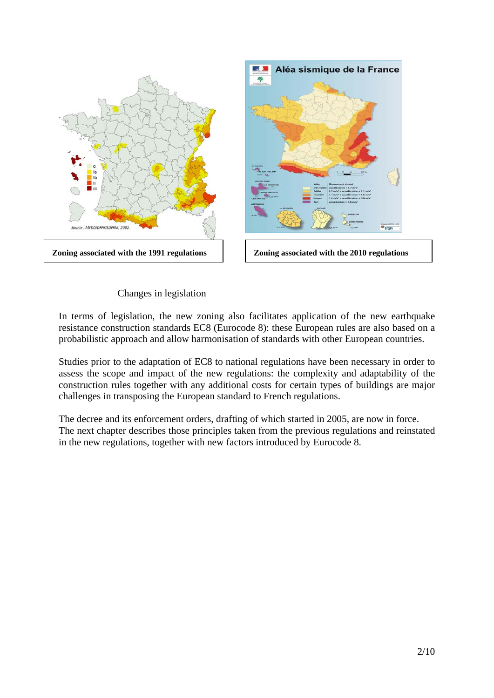

#### Changes in legislation

In terms of legislation, the new zoning also facilitates application of the new earthquake resistance construction standards EC8 (Eurocode 8): these European rules are also based on a probabilistic approach and allow harmonisation of standards with other European countries.

Studies prior to the adaptation of EC8 to national regulations have been necessary in order to assess the scope and impact of the new regulations: the complexity and adaptability of the construction rules together with any additional costs for certain types of buildings are major challenges in transposing the European standard to French regulations.

The decree and its enforcement orders, drafting of which started in 2005, are now in force. The next chapter describes those principles taken from the previous regulations and reinstated in the new regulations, together with new factors introduced by Eurocode 8.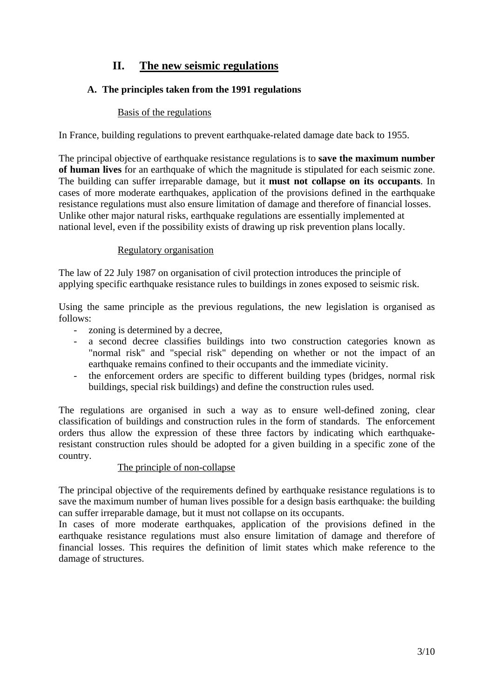## **II. The new seismic regulations**

### **A. The principles taken from the 1991 regulations**

#### Basis of the regulations

In France, building regulations to prevent earthquake-related damage date back to 1955.

The principal objective of earthquake resistance regulations is to **save the maximum number of human lives** for an earthquake of which the magnitude is stipulated for each seismic zone. The building can suffer irreparable damage, but it **must not collapse on its occupants**. In cases of more moderate earthquakes, application of the provisions defined in the earthquake resistance regulations must also ensure limitation of damage and therefore of financial losses. Unlike other major natural risks, earthquake regulations are essentially implemented at national level, even if the possibility exists of drawing up risk prevention plans locally.

#### Regulatory organisation

The law of 22 July 1987 on organisation of civil protection introduces the principle of applying specific earthquake resistance rules to buildings in zones exposed to seismic risk.

Using the same principle as the previous regulations, the new legislation is organised as follows:

- zoning is determined by a decree,
- a second decree classifies buildings into two construction categories known as "normal risk" and "special risk" depending on whether or not the impact of an earthquake remains confined to their occupants and the immediate vicinity.
- the enforcement orders are specific to different building types (bridges, normal risk buildings, special risk buildings) and define the construction rules used.

The regulations are organised in such a way as to ensure well-defined zoning, clear classification of buildings and construction rules in the form of standards. The enforcement orders thus allow the expression of these three factors by indicating which earthquakeresistant construction rules should be adopted for a given building in a specific zone of the country.

#### The principle of non-collapse

The principal objective of the requirements defined by earthquake resistance regulations is to save the maximum number of human lives possible for a design basis earthquake: the building can suffer irreparable damage, but it must not collapse on its occupants.

In cases of more moderate earthquakes, application of the provisions defined in the earthquake resistance regulations must also ensure limitation of damage and therefore of financial losses. This requires the definition of limit states which make reference to the damage of structures.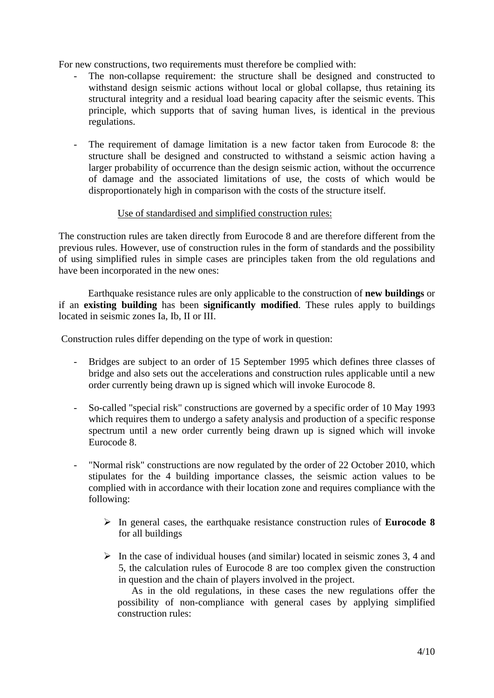For new constructions, two requirements must therefore be complied with:

- The non-collapse requirement: the structure shall be designed and constructed to withstand design seismic actions without local or global collapse, thus retaining its structural integrity and a residual load bearing capacity after the seismic events. This principle, which supports that of saving human lives, is identical in the previous regulations.
- The requirement of damage limitation is a new factor taken from Eurocode 8: the structure shall be designed and constructed to withstand a seismic action having a larger probability of occurrence than the design seismic action, without the occurrence of damage and the associated limitations of use, the costs of which would be disproportionately high in comparison with the costs of the structure itself.

#### Use of standardised and simplified construction rules:

The construction rules are taken directly from Eurocode 8 and are therefore different from the previous rules. However, use of construction rules in the form of standards and the possibility of using simplified rules in simple cases are principles taken from the old regulations and have been incorporated in the new ones:

Earthquake resistance rules are only applicable to the construction of **new buildings** or if an **existing building** has been **significantly modified**. These rules apply to buildings located in seismic zones Ia, Ib, II or III.

Construction rules differ depending on the type of work in question:

- Bridges are subject to an order of 15 September 1995 which defines three classes of bridge and also sets out the accelerations and construction rules applicable until a new order currently being drawn up is signed which will invoke Eurocode 8.
- So-called "special risk" constructions are governed by a specific order of 10 May 1993 which requires them to undergo a safety analysis and production of a specific response spectrum until a new order currently being drawn up is signed which will invoke Eurocode 8.
- "Normal risk" constructions are now regulated by the order of 22 October 2010, which stipulates for the 4 building importance classes, the seismic action values to be complied with in accordance with their location zone and requires compliance with the following:
	- In general cases, the earthquake resistance construction rules of **Eurocode 8** for all buildings
	- $\triangleright$  In the case of individual houses (and similar) located in seismic zones 3, 4 and 5, the calculation rules of Eurocode 8 are too complex given the construction in question and the chain of players involved in the project.

As in the old regulations, in these cases the new regulations offer the possibility of non-compliance with general cases by applying simplified construction rules: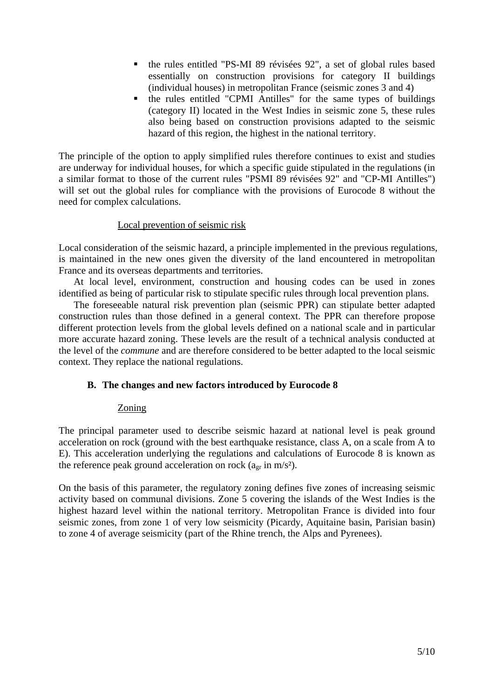- the rules entitled "PS-MI 89 révisées 92", a set of global rules based essentially on construction provisions for category II buildings (individual houses) in metropolitan France (seismic zones 3 and 4)
- the rules entitled "CPMI Antilles" for the same types of buildings (category II) located in the West Indies in seismic zone 5, these rules also being based on construction provisions adapted to the seismic hazard of this region, the highest in the national territory.

The principle of the option to apply simplified rules therefore continues to exist and studies are underway for individual houses, for which a specific guide stipulated in the regulations (in a similar format to those of the current rules "PSMI 89 révisées 92" and "CP-MI Antilles") will set out the global rules for compliance with the provisions of Eurocode 8 without the need for complex calculations.

#### Local prevention of seismic risk

Local consideration of the seismic hazard, a principle implemented in the previous regulations, is maintained in the new ones given the diversity of the land encountered in metropolitan France and its overseas departments and territories.

 At local level, environment, construction and housing codes can be used in zones identified as being of particular risk to stipulate specific rules through local prevention plans.

 The foreseeable natural risk prevention plan (seismic PPR) can stipulate better adapted construction rules than those defined in a general context. The PPR can therefore propose different protection levels from the global levels defined on a national scale and in particular more accurate hazard zoning. These levels are the result of a technical analysis conducted at the level of the *commune* and are therefore considered to be better adapted to the local seismic context. They replace the national regulations.

#### **B. The changes and new factors introduced by Eurocode 8**

#### Zoning

The principal parameter used to describe seismic hazard at national level is peak ground acceleration on rock (ground with the best earthquake resistance, class A, on a scale from A to E). This acceleration underlying the regulations and calculations of Eurocode 8 is known as the reference peak ground acceleration on rock ( $a_{gr}$  in m/s<sup>2</sup>).

On the basis of this parameter, the regulatory zoning defines five zones of increasing seismic activity based on communal divisions. Zone 5 covering the islands of the West Indies is the highest hazard level within the national territory. Metropolitan France is divided into four seismic zones, from zone 1 of very low seismicity (Picardy, Aquitaine basin, Parisian basin) to zone 4 of average seismicity (part of the Rhine trench, the Alps and Pyrenees).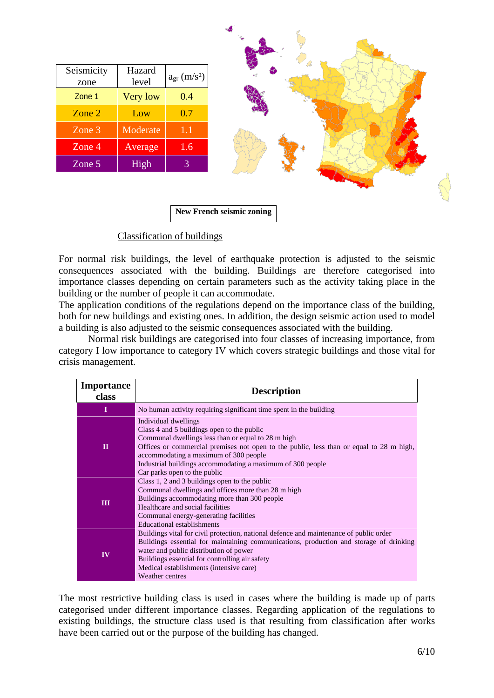| Seismicity<br>zone | Hazard<br>level | $a_{gr}$ (m/s <sup>2</sup> ) |  |
|--------------------|-----------------|------------------------------|--|
| Zone 1             | Very low        | 0.4                          |  |
| Zone 2             | Low             | 0.7                          |  |
| Zone 3             | Moderate        | 1.1                          |  |
| Zone 4             | Average         | 1.6                          |  |
| Zone 5             | <b>High</b>     | 3                            |  |



**New French seismic zoning** 

#### Classification of buildings

For normal risk buildings, the level of earthquake protection is adjusted to the seismic consequences associated with the building. Buildings are therefore categorised into importance classes depending on certain parameters such as the activity taking place in the building or the number of people it can accommodate.

The application conditions of the regulations depend on the importance class of the building, both for new buildings and existing ones. In addition, the design seismic action used to model a building is also adjusted to the seismic consequences associated with the building.

 Normal risk buildings are categorised into four classes of increasing importance, from category I low importance to category IV which covers strategic buildings and those vital for crisis management.

| <b>Importance</b><br>class | <b>Description</b>                                                                                                                                                                                                                                                                                                                                         |  |  |
|----------------------------|------------------------------------------------------------------------------------------------------------------------------------------------------------------------------------------------------------------------------------------------------------------------------------------------------------------------------------------------------------|--|--|
| п                          | No human activity requiring significant time spent in the building                                                                                                                                                                                                                                                                                         |  |  |
| $\mathbf H$                | Individual dwellings<br>Class 4 and 5 buildings open to the public<br>Communal dwellings less than or equal to 28 m high<br>Offices or commercial premises not open to the public, less than or equal to 28 m high,<br>accommodating a maximum of 300 people<br>Industrial buildings accommodating a maximum of 300 people<br>Car parks open to the public |  |  |
| Ш                          | Class 1, 2 and 3 buildings open to the public<br>Communal dwellings and offices more than 28 m high<br>Buildings accommodating more than 300 people<br>Healthcare and social facilities<br>Communal energy-generating facilities<br>Educational establishments                                                                                             |  |  |
| IV                         | Buildings vital for civil protection, national defence and maintenance of public order<br>Buildings essential for maintaining communications, production and storage of drinking<br>water and public distribution of power<br>Buildings essential for controlling air safety<br>Medical establishments (intensive care)<br>Weather centres                 |  |  |

The most restrictive building class is used in cases where the building is made up of parts categorised under different importance classes. Regarding application of the regulations to existing buildings, the structure class used is that resulting from classification after works have been carried out or the purpose of the building has changed.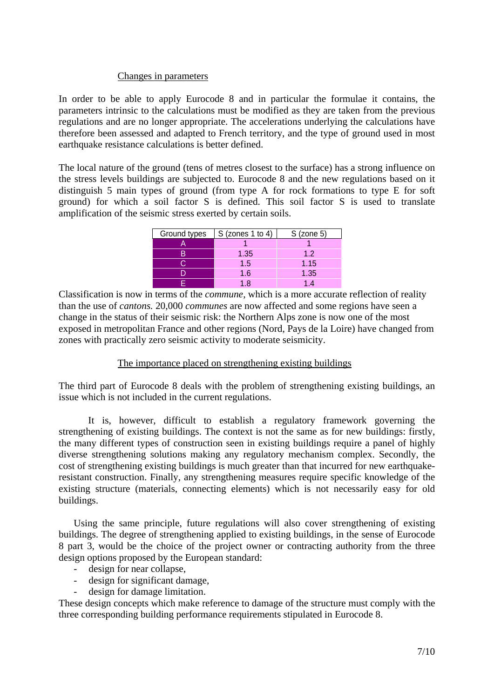#### Changes in parameters

In order to be able to apply Eurocode 8 and in particular the formulae it contains, the parameters intrinsic to the calculations must be modified as they are taken from the previous regulations and are no longer appropriate. The accelerations underlying the calculations have therefore been assessed and adapted to French territory, and the type of ground used in most earthquake resistance calculations is better defined.

The local nature of the ground (tens of metres closest to the surface) has a strong influence on the stress levels buildings are subjected to. Eurocode 8 and the new regulations based on it distinguish 5 main types of ground (from type A for rock formations to type E for soft ground) for which a soil factor S is defined. This soil factor S is used to translate amplification of the seismic stress exerted by certain soils.

| Ground types | $S$ (zones 1 to 4) | $S$ (zone 5) |
|--------------|--------------------|--------------|
|              |                    |              |
|              | 1.35               | 1.2          |
|              | 1.5                | 1.15         |
|              | 1.6                | 1.35         |
|              | 18                 | 14           |

Classification is now in terms of the *commune*, which is a more accurate reflection of reality than the use of *cantons.* 20,000 *communes* are now affected and some regions have seen a change in the status of their seismic risk: the Northern Alps zone is now one of the most exposed in metropolitan France and other regions (Nord, Pays de la Loire) have changed from zones with practically zero seismic activity to moderate seismicity.

#### The importance placed on strengthening existing buildings

The third part of Eurocode 8 deals with the problem of strengthening existing buildings, an issue which is not included in the current regulations.

It is, however, difficult to establish a regulatory framework governing the strengthening of existing buildings. The context is not the same as for new buildings: firstly, the many different types of construction seen in existing buildings require a panel of highly diverse strengthening solutions making any regulatory mechanism complex. Secondly, the cost of strengthening existing buildings is much greater than that incurred for new earthquakeresistant construction. Finally, any strengthening measures require specific knowledge of the existing structure (materials, connecting elements) which is not necessarily easy for old buildings.

 Using the same principle, future regulations will also cover strengthening of existing buildings. The degree of strengthening applied to existing buildings, in the sense of Eurocode 8 part 3, would be the choice of the project owner or contracting authority from the three design options proposed by the European standard:

- design for near collapse,
- design for significant damage,
- design for damage limitation.

These design concepts which make reference to damage of the structure must comply with the three corresponding building performance requirements stipulated in Eurocode 8.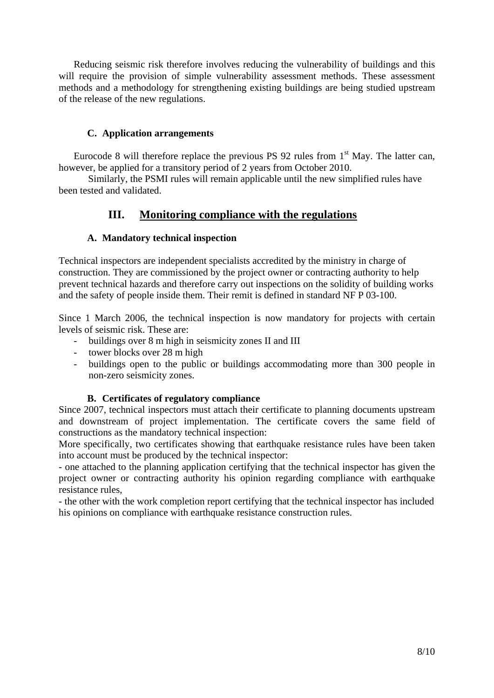Reducing seismic risk therefore involves reducing the vulnerability of buildings and this will require the provision of simple vulnerability assessment methods. These assessment methods and a methodology for strengthening existing buildings are being studied upstream of the release of the new regulations.

### **C. Application arrangements**

Eurocode 8 will therefore replace the previous PS 92 rules from  $1<sup>st</sup>$  May. The latter can, however, be applied for a transitory period of 2 years from October 2010.

 Similarly, the PSMI rules will remain applicable until the new simplified rules have been tested and validated.

### **III. Monitoring compliance with the regulations**

### **A. Mandatory technical inspection**

Technical inspectors are independent specialists accredited by the ministry in charge of construction. They are commissioned by the project owner or contracting authority to help prevent technical hazards and therefore carry out inspections on the solidity of building works and the safety of people inside them. Their remit is defined in standard NF P 03-100.

Since 1 March 2006, the technical inspection is now mandatory for projects with certain levels of seismic risk. These are:

- buildings over 8 m high in seismicity zones II and III
- tower blocks over 28 m high
- buildings open to the public or buildings accommodating more than 300 people in non-zero seismicity zones.

### **B. Certificates of regulatory compliance**

Since 2007, technical inspectors must attach their certificate to planning documents upstream and downstream of project implementation. The certificate covers the same field of constructions as the mandatory technical inspection:

More specifically, two certificates showing that earthquake resistance rules have been taken into account must be produced by the technical inspector:

- one attached to the planning application certifying that the technical inspector has given the project owner or contracting authority his opinion regarding compliance with earthquake resistance rules,

- the other with the work completion report certifying that the technical inspector has included his opinions on compliance with earthquake resistance construction rules.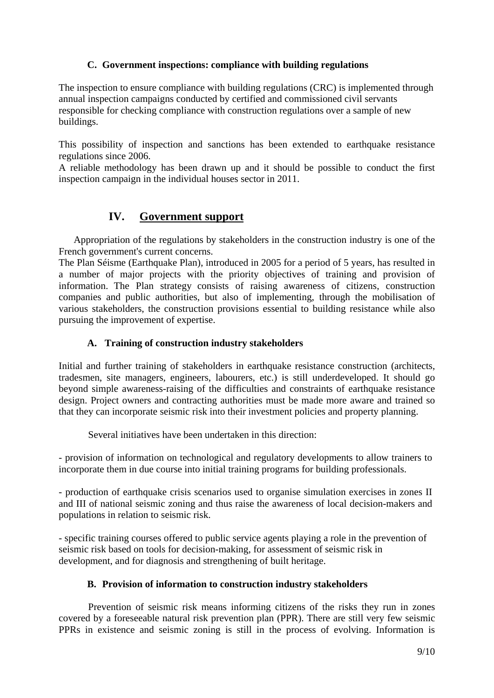### **C. Government inspections: compliance with building regulations**

The inspection to ensure compliance with building regulations (CRC) is implemented through annual inspection campaigns conducted by certified and commissioned civil servants responsible for checking compliance with construction regulations over a sample of new buildings.

This possibility of inspection and sanctions has been extended to earthquake resistance regulations since 2006.

A reliable methodology has been drawn up and it should be possible to conduct the first inspection campaign in the individual houses sector in 2011.

### **IV. Government support**

Appropriation of the regulations by stakeholders in the construction industry is one of the French government's current concerns.

The Plan Séisme (Earthquake Plan), introduced in 2005 for a period of 5 years, has resulted in a number of major projects with the priority objectives of training and provision of information. The Plan strategy consists of raising awareness of citizens, construction companies and public authorities, but also of implementing, through the mobilisation of various stakeholders, the construction provisions essential to building resistance while also pursuing the improvement of expertise.

#### **A. Training of construction industry stakeholders**

Initial and further training of stakeholders in earthquake resistance construction (architects, tradesmen, site managers, engineers, labourers, etc.) is still underdeveloped. It should go beyond simple awareness-raising of the difficulties and constraints of earthquake resistance design. Project owners and contracting authorities must be made more aware and trained so that they can incorporate seismic risk into their investment policies and property planning.

Several initiatives have been undertaken in this direction:

- provision of information on technological and regulatory developments to allow trainers to incorporate them in due course into initial training programs for building professionals.

- production of earthquake crisis scenarios used to organise simulation exercises in zones II and III of national seismic zoning and thus raise the awareness of local decision-makers and populations in relation to seismic risk.

- specific training courses offered to public service agents playing a role in the prevention of seismic risk based on tools for decision-making, for assessment of seismic risk in development, and for diagnosis and strengthening of built heritage.

#### **B. Provision of information to construction industry stakeholders**

Prevention of seismic risk means informing citizens of the risks they run in zones covered by a foreseeable natural risk prevention plan (PPR). There are still very few seismic PPRs in existence and seismic zoning is still in the process of evolving. Information is